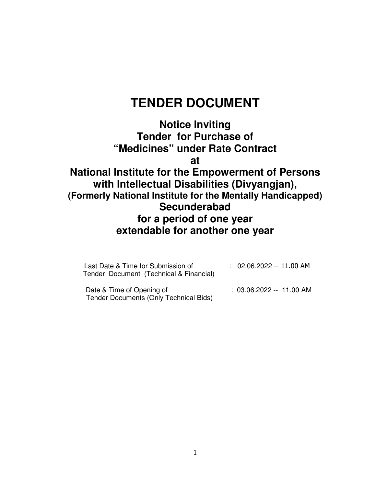# **TENDER DOCUMENT**

**Notice Inviting Tender for Purchase of "Medicines" under Rate Contract at National Institute for the Empowerment of Persons with Intellectual Disabilities (Divyangjan), (Formerly National Institute for the Mentally Handicapped) Secunderabad for a period of one year extendable for another one year**

| Last Date & Time for Submission of<br>Tender Document (Technical & Financial) | $: 02.06.2022 - 11.00$ AM |
|-------------------------------------------------------------------------------|---------------------------|
| Date & Time of Opening of<br>Tender Documents (Only Technical Bids)           | $: 03.06.2022 - 11.00$ AM |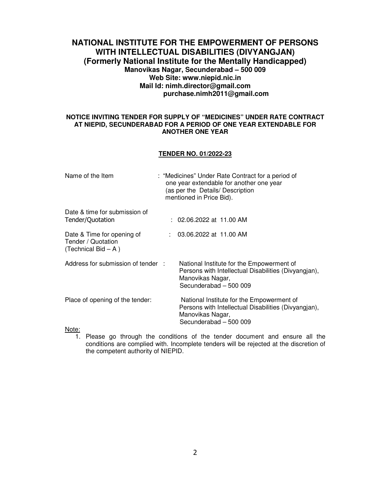## **NATIONAL INSTITUTE FOR THE EMPOWERMENT OF PERSONS WITH INTELLECTUAL DISABILITIES (DIVYANGJAN) (Formerly National Institute for the Mentally Handicapped) Manovikas Nagar, Secunderabad – 500 009 Web Site: www.niepid.nic.in Mail Id: nimh.director@gmail.com purchase.nimh2011@gmail.com**

### **NOTICE INVITING TENDER FOR SUPPLY OF "MEDICINES" UNDER RATE CONTRACT AT NIEPID, SECUNDERABAD FOR A PERIOD OF ONE YEAR EXTENDABLE FOR ANOTHER ONE YEAR**

### **TENDER NO. 01/2022-23**

| Name of the Item                                                           | : "Medicines" Under Rate Contract for a period of<br>one year extendable for another one year<br>(as per the Details/ Description<br>mentioned in Price Bid). |                                                                                                                                                 |  |  |  |  |  |  |  |
|----------------------------------------------------------------------------|---------------------------------------------------------------------------------------------------------------------------------------------------------------|-------------------------------------------------------------------------------------------------------------------------------------------------|--|--|--|--|--|--|--|
| Date & time for submission of<br>Tender/Quotation                          |                                                                                                                                                               | : 02.06.2022 at 11.00 AM                                                                                                                        |  |  |  |  |  |  |  |
| Date & Time for opening of<br>Tender / Quotation<br>(Technical Bid $- A$ ) |                                                                                                                                                               | 03.06.2022 at 11.00 AM                                                                                                                          |  |  |  |  |  |  |  |
| Address for submission of tender :                                         |                                                                                                                                                               | National Institute for the Empowerment of<br>Persons with Intellectual Disabilities (Divyangian),<br>Manovikas Nagar,<br>Secunderabad - 500 009 |  |  |  |  |  |  |  |
| Place of opening of the tender:                                            |                                                                                                                                                               | National Institute for the Empowerment of<br>Persons with Intellectual Disabilities (Divyangjan),<br>Manovikas Nagar,<br>Secunderabad - 500 009 |  |  |  |  |  |  |  |
| Note:                                                                      |                                                                                                                                                               |                                                                                                                                                 |  |  |  |  |  |  |  |

1. Please go through the conditions of the tender document and ensure all the conditions are complied with. Incomplete tenders will be rejected at the discretion of the competent authority of NIEPID.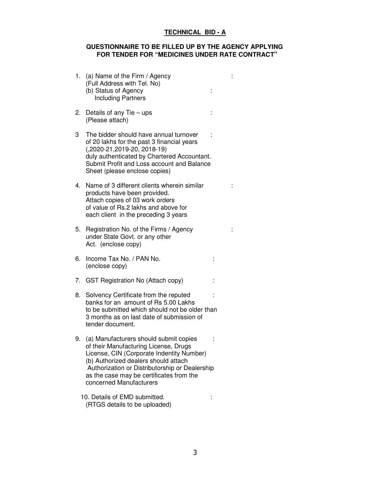# **TECHNICAL BID - A**

## **QUESTIONNAIRE TO BE FILLED UP BY THE AGENCY APPLYING FOR TENDER FOR "MEDICINES UNDER RATE CONTRACT"**

| 1. | (a) Name of the Firm / Agency<br>(Full Address with Tel. No)<br>(b) Status of Agency<br><b>Including Partners</b>                                                                                                                                                                             |  |
|----|-----------------------------------------------------------------------------------------------------------------------------------------------------------------------------------------------------------------------------------------------------------------------------------------------|--|
| 2. | Details of any Tie $-$ ups<br>(Please attach)                                                                                                                                                                                                                                                 |  |
| 3  | The bidder should have annual turnover<br>of 20 lakhs for the past 3 financial years<br>(,2020-21,2019-20, 2018-19)<br>duly authenticated by Chartered Accountant.<br>Submit Profit and Loss account and Balance<br>Sheet (please enclose copies)                                             |  |
| 4. | Name of 3 different clients wherein similar<br>products have been provided.<br>Attach copies of 03 work orders<br>of value of Rs.2 lakhs and above for<br>each client in the preceding 3 years                                                                                                |  |
| 5. | Registration No. of the Firms / Agency<br>under State Govt. or any other<br>Act. (enclose copy)                                                                                                                                                                                               |  |
| 6. | Income Tax No. / PAN No.<br>(enclose copy)                                                                                                                                                                                                                                                    |  |
| 7. | <b>GST Registration No (Attach copy)</b>                                                                                                                                                                                                                                                      |  |
| 8. | Solvency Certificate from the reputed<br>banks for an amount of Rs 5.00 Lakhs<br>to be submitted which should not be older than<br>3 months as on last date of submission of<br>tender document.                                                                                              |  |
| 9. | (a) Manufacturers should submit copies<br>of their Manufacturing License, Drugs<br>License, CIN (Corporate Indentity Number)<br>(b) Authorized dealers should attach<br>Authorization or Distributorship or Dealership<br>as the case may be certificates from the<br>concerned Manufacturers |  |
|    |                                                                                                                                                                                                                                                                                               |  |

10. Details of EMD submitted.  $\qquad \qquad :$ (RTGS details to be uploaded)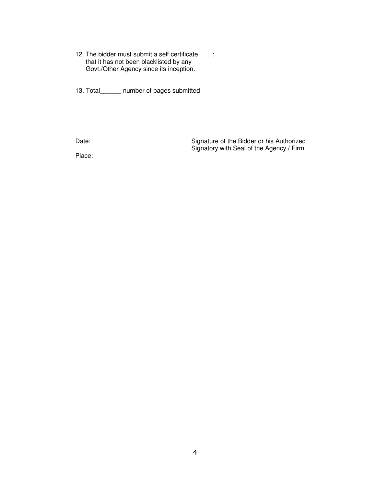12. The bidder must submit a self certificate : that it has not been blacklisted by any Govt./Other Agency since its inception.

13. Total\_\_\_\_\_\_ number of pages submitted

Date: Case of the Bidder or his Authorized Signatory with Seal of the Agency / Firm.

Place: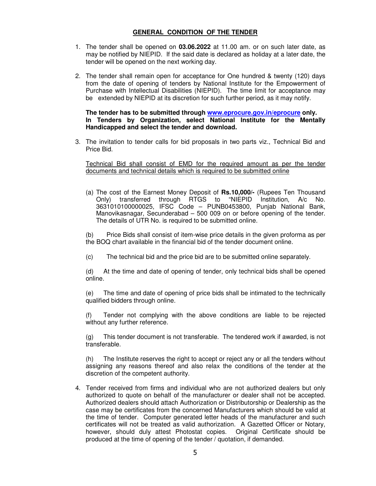## **GENERAL CONDITION OF THE TENDER**

- 1. The tender shall be opened on **03.06.2022** at 11.00 am. or on such later date, as may be notified by NIEPID. If the said date is declared as holiday at a later date, the tender will be opened on the next working day.
- 2. The tender shall remain open for acceptance for One hundred & twenty (120) days from the date of opening of tenders by National Institute for the Empowerment of Purchase with Intellectual Disabilities (NIEPID). The time limit for acceptance may be extended by NIEPID at its discretion for such further period, as it may notify.

 **The tender has to be submitted through www.eprocure.gov.in/eprocure only. In Tenders by Organization, select National Institute for the Mentally Handicapped and select the tender and download.** 

3. The invitation to tender calls for bid proposals in two parts viz., Technical Bid and Price Bid.

Technical Bid shall consist of EMD for the required amount as per the tender documents and technical details which is required to be submitted online

(a) The cost of the Earnest Money Deposit of **Rs.10,000/-** (Rupees Ten Thousand Only) transferred through RTGS to 3631010100000025, IFSC Code – PUNB0453800, Punjab National Bank, Manovikasnagar, Secunderabad – 500 009 on or before opening of the tender. The details of UTR No. is required to be submitted online.

(b) Price Bids shall consist of item-wise price details in the given proforma as per the BOQ chart available in the financial bid of the tender document online.

(c) The technical bid and the price bid are to be submitted online separately.

(d) At the time and date of opening of tender, only technical bids shall be opened online.

(e) The time and date of opening of price bids shall be intimated to the technically qualified bidders through online.

(f) Tender not complying with the above conditions are liable to be rejected without any further reference.

(g) This tender document is not transferable. The tendered work if awarded, is not transferable.

(h) The Institute reserves the right to accept or reject any or all the tenders without assigning any reasons thereof and also relax the conditions of the tender at the discretion of the competent authority.

4. Tender received from firms and individual who are not authorized dealers but only authorized to quote on behalf of the manufacturer or dealer shall not be accepted. Authorized dealers should attach Authorization or Distributorship or Dealership as the case may be certificates from the concerned Manufacturers which should be valid at the time of tender. Computer generated letter heads of the manufacturer and such certificates will not be treated as valid authorization. A Gazetted Officer or Notary, however, should duly attest Photostat copies. Original Certificate should be produced at the time of opening of the tender / quotation, if demanded.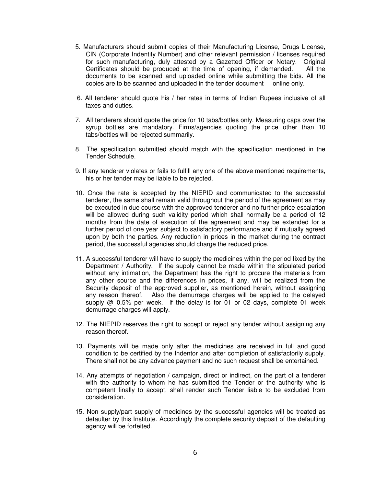- 5. Manufacturers should submit copies of their Manufacturing License, Drugs License, CIN (Corporate Indentity Number) and other relevant permission / licenses required for such manufacturing, duly attested by a Gazetted Officer or Notary. Original Certificates should be produced at the time of opening, if demanded. All the documents to be scanned and uploaded online while submitting the bids. All the copies are to be scanned and uploaded in the tender document online only.
- 6. All tenderer should quote his / her rates in terms of Indian Rupees inclusive of all taxes and duties.
- 7. All tenderers should quote the price for 10 tabs/bottles only. Measuring caps over the syrup bottles are mandatory. Firms/agencies quoting the price other than 10 tabs/bottles will be rejected summarily.
- 8. The specification submitted should match with the specification mentioned in the Tender Schedule.
- 9. If any tenderer violates or fails to fulfill any one of the above mentioned requirements, his or her tender may be liable to be rejected.
- 10. Once the rate is accepted by the NIEPID and communicated to the successful tenderer, the same shall remain valid throughout the period of the agreement as may be executed in due course with the approved tenderer and no further price escalation will be allowed during such validity period which shall normally be a period of 12 months from the date of execution of the agreement and may be extended for a further period of one year subject to satisfactory performance and if mutually agreed upon by both the parties. Any reduction in prices in the market during the contract period, the successful agencies should charge the reduced price.
- 11. A successful tenderer will have to supply the medicines within the period fixed by the Department / Authority. If the supply cannot be made within the stipulated period without any intimation, the Department has the right to procure the materials from any other source and the differences in prices, if any, will be realized from the Security deposit of the approved supplier, as mentioned herein, without assigning any reason thereof. Also the demurrage charges will be applied to the delayed supply  $@$  0.5% per week. If the delay is for 01 or 02 days, complete 01 week demurrage charges will apply.
- 12. The NIEPID reserves the right to accept or reject any tender without assigning any reason thereof.
- 13. Payments will be made only after the medicines are received in full and good condition to be certified by the Indentor and after completion of satisfactorily supply. There shall not be any advance payment and no such request shall be entertained.
- 14. Any attempts of negotiation / campaign, direct or indirect, on the part of a tenderer with the authority to whom he has submitted the Tender or the authority who is competent finally to accept, shall render such Tender liable to be excluded from consideration.
- 15. Non supply/part supply of medicines by the successful agencies will be treated as defaulter by this Institute. Accordingly the complete security deposit of the defaulting agency will be forfeited.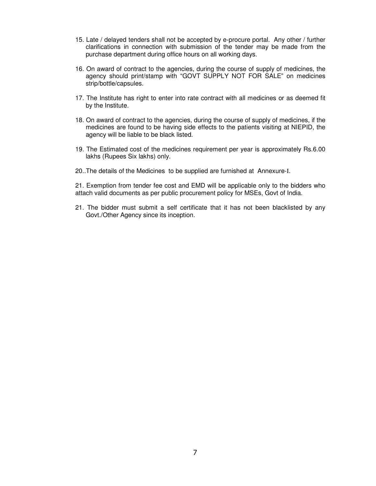- 15. Late / delayed tenders shall not be accepted by e-procure portal. Any other / further clarifications in connection with submission of the tender may be made from the purchase department during office hours on all working days.
- 16. On award of contract to the agencies, during the course of supply of medicines, the agency should print/stamp with "GOVT SUPPLY NOT FOR SALE" on medicines strip/bottle/capsules.
- 17. The Institute has right to enter into rate contract with all medicines or as deemed fit by the Institute.
- 18. On award of contract to the agencies, during the course of supply of medicines, if the medicines are found to be having side effects to the patients visiting at NIEPID, the agency will be liable to be black listed.
- 19. The Estimated cost of the medicines requirement per year is approximately Rs.6.00 lakhs (Rupees Six lakhs) only.
- 20..The details of the Medicines to be supplied are furnished at Annexure-I.

21. Exemption from tender fee cost and EMD will be applicable only to the bidders who attach valid documents as per public procurement policy for MSEs, Govt of India.

21. The bidder must submit a self certificate that it has not been blacklisted by any Govt./Other Agency since its inception.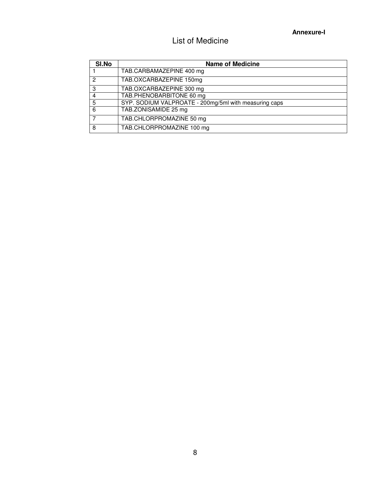# List of Medicine

| SI.No | <b>Name of Medicine</b>                               |
|-------|-------------------------------------------------------|
|       | TAB.CARBAMAZEPINE 400 mg                              |
| 2     | TAB.OXCARBAZEPINE 150mg                               |
| 3     | TAB.OXCARBAZEPINE 300 mg                              |
| 4     | TAB.PHENOBARBITONE 60 mg                              |
| 5     | SYP. SODIUM VALPROATE - 200mg/5ml with measuring caps |
| 6     | TAB.ZONISAMIDE 25 mg                                  |
|       | TAB.CHLORPROMAZINE 50 mg                              |
| 8     | TAB.CHLORPROMAZINE 100 mg                             |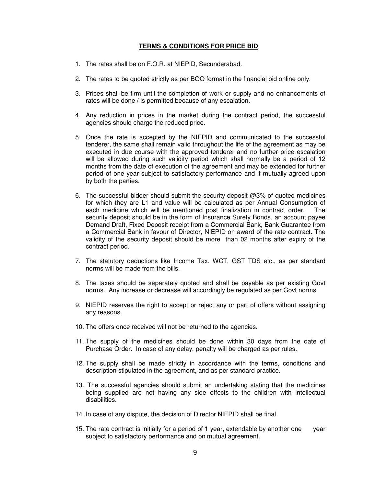### **TERMS & CONDITIONS FOR PRICE BID**

- 1. The rates shall be on F.O.R. at NIEPID, Secunderabad.
- 2. The rates to be quoted strictly as per BOQ format in the financial bid online only.
- 3. Prices shall be firm until the completion of work or supply and no enhancements of rates will be done / is permitted because of any escalation.
- 4. Any reduction in prices in the market during the contract period, the successful agencies should charge the reduced price.
- 5. Once the rate is accepted by the NIEPID and communicated to the successful tenderer, the same shall remain valid throughout the life of the agreement as may be executed in due course with the approved tenderer and no further price escalation will be allowed during such validity period which shall normally be a period of 12 months from the date of execution of the agreement and may be extended for further period of one year subject to satisfactory performance and if mutually agreed upon by both the parties.
- 6. The successful bidder should submit the security deposit @3% of quoted medicines for which they are L1 and value will be calculated as per Annual Consumption of each medicine which will be mentioned post finalization in contract order. The security deposit should be in the form of Insurance Surety Bonds, an account payee Demand Draft, Fixed Deposit receipt from a Commercial Bank, Bank Guarantee from a Commercial Bank in favour of Director, NIEPID on award of the rate contract. The validity of the security deposit should be more than 02 months after expiry of the contract period.
- 7. The statutory deductions like Income Tax, WCT, GST TDS etc., as per standard norms will be made from the bills.
- 8. The taxes should be separately quoted and shall be payable as per existing Govt norms. Any increase or decrease will accordingly be regulated as per Govt norms.
- 9. NIEPID reserves the right to accept or reject any or part of offers without assigning any reasons.
- 10. The offers once received will not be returned to the agencies.
- 11. The supply of the medicines should be done within 30 days from the date of Purchase Order. In case of any delay, penalty will be charged as per rules.
- 12. The supply shall be made strictly in accordance with the terms, conditions and description stipulated in the agreement, and as per standard practice.
- 13. The successful agencies should submit an undertaking stating that the medicines being supplied are not having any side effects to the children with intellectual disabilities.
- 14. In case of any dispute, the decision of Director NIEPID shall be final.
- 15. The rate contract is initially for a period of 1 year, extendable by another one year subject to satisfactory performance and on mutual agreement.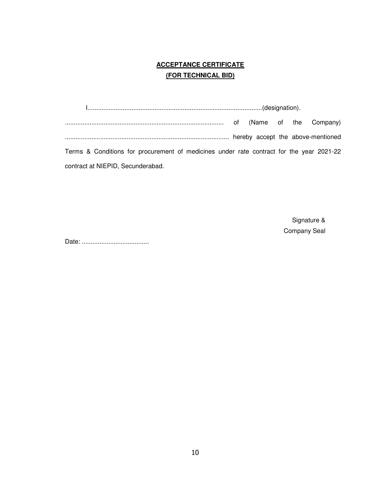# **ACCEPTANCE CERTIFICATE (FOR TECHNICAL BID)**

 I...................................................................................................(designation). .......................................................................................... of (Name of the Company) ............................................................................................. hereby accept the above-mentioned Terms & Conditions for procurement of medicines under rate contract for the year 2021-22 contract at NIEPID, Secunderabad.

> Signature & Company Seal

Date: ......................................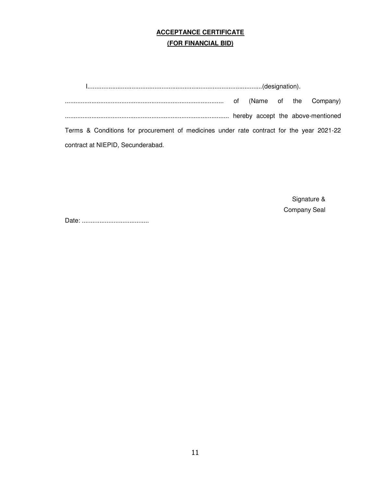# **ACCEPTANCE CERTIFICATE (FOR FINANCIAL BID)**

 I...................................................................................................(designation). .......................................................................................... of (Name of the Company) ............................................................................................. hereby accept the above-mentioned Terms & Conditions for procurement of medicines under rate contract for the year 2021-22 contract at NIEPID, Secunderabad.

> Signature & Company Seal

Date: ......................................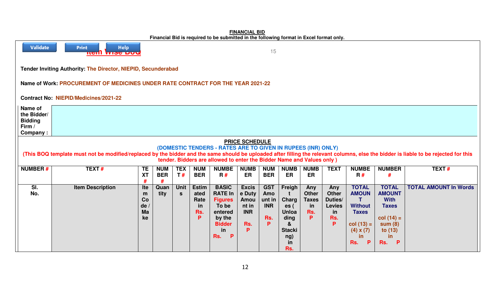| Financial Big is required to be submitted in the following format in Excel format only.                                                                                                                                                                                                                                                                |                         |                                   |                                                   |                                                |                                                                                                                          |                                                                    |                                                       |                                                                                          |                                                       |                                                                    |                                                                                                                             |                                                                                                                       |                              |
|--------------------------------------------------------------------------------------------------------------------------------------------------------------------------------------------------------------------------------------------------------------------------------------------------------------------------------------------------------|-------------------------|-----------------------------------|---------------------------------------------------|------------------------------------------------|--------------------------------------------------------------------------------------------------------------------------|--------------------------------------------------------------------|-------------------------------------------------------|------------------------------------------------------------------------------------------|-------------------------------------------------------|--------------------------------------------------------------------|-----------------------------------------------------------------------------------------------------------------------------|-----------------------------------------------------------------------------------------------------------------------|------------------------------|
| Validate<br><b>Help</b><br><b>Print</b><br>15<br><mark>טטע סכוויו</mark> ווה                                                                                                                                                                                                                                                                           |                         |                                   |                                                   |                                                |                                                                                                                          |                                                                    |                                                       |                                                                                          |                                                       |                                                                    |                                                                                                                             |                                                                                                                       |                              |
| Tender Inviting Authority: The Director, NIEPID, Secunderabad                                                                                                                                                                                                                                                                                          |                         |                                   |                                                   |                                                |                                                                                                                          |                                                                    |                                                       |                                                                                          |                                                       |                                                                    |                                                                                                                             |                                                                                                                       |                              |
| Name of Work: PROCUREMENT OF MEDICINES UNDER RATE CONTRACT FOR THE YEAR 2021-22                                                                                                                                                                                                                                                                        |                         |                                   |                                                   |                                                |                                                                                                                          |                                                                    |                                                       |                                                                                          |                                                       |                                                                    |                                                                                                                             |                                                                                                                       |                              |
| <b>Contract No: NIEPID/Medicines/2021-22</b>                                                                                                                                                                                                                                                                                                           |                         |                                   |                                                   |                                                |                                                                                                                          |                                                                    |                                                       |                                                                                          |                                                       |                                                                    |                                                                                                                             |                                                                                                                       |                              |
| Name of<br>the Bidder/<br><b>Bidding</b><br>Firm /<br>Company:                                                                                                                                                                                                                                                                                         |                         |                                   |                                                   |                                                |                                                                                                                          |                                                                    |                                                       |                                                                                          |                                                       |                                                                    |                                                                                                                             |                                                                                                                       |                              |
| <b>PRICE SCHEDULE</b><br>(DOMESTIC TENDERS - RATES ARE TO GIVEN IN RUPEES (INR) ONLY)<br>(This BOQ template must not be modified/replaced by the bidder and the same should be uploaded after filling the relevant columns, else the bidder is liable to be rejected for this<br>tender. Bidders are allowed to enter the Bidder Name and Values only) |                         |                                   |                                                   |                                                |                                                                                                                          |                                                                    |                                                       |                                                                                          |                                                       |                                                                    |                                                                                                                             |                                                                                                                       |                              |
| <b>NUMBER#</b>                                                                                                                                                                                                                                                                                                                                         | TEXT#                   | <b>TE</b><br><b>XT</b><br>#       | <b>TEX</b><br><b>NUM</b><br><b>BER</b><br>T#<br># | <b>NUM</b><br><b>BER</b>                       | <b>NUMBE</b><br>R#                                                                                                       | <b>NUMB</b><br>ER                                                  | <b>NUM</b><br><b>BER</b>                              | <b>NUMB</b><br>ER                                                                        | <b>NUMB</b><br><b>ER</b>                              | <b>TEXT</b>                                                        | <b>NUMBE</b><br>R#                                                                                                          | <b>NUMBER</b><br>#                                                                                                    | TEXT#                        |
| SI.<br>No.                                                                                                                                                                                                                                                                                                                                             | <b>Item Description</b> | Ite<br>m<br>Co<br>de/<br>Ma<br>ke | Quan<br><b>Unit</b><br>tity<br><b>S</b>           | <b>Estim</b><br>ated<br>Rate<br>in<br>Rs.<br>P | <b>BASIC</b><br><b>RATE In</b><br><b>Figures</b><br>To be<br>entered<br>by the<br><b>Bidder</b><br>in<br>Rs.<br><b>P</b> | <b>Excis</b><br>e Duty<br>Amou<br>nt in<br><b>INR</b><br>Rs.<br>P. | <b>GST</b><br>Amo<br>unt in<br><b>INR</b><br>Rs.<br>P | Freigh<br>Charg<br>es(<br><b>Unloa</b><br>ding<br>&<br><b>Stacki</b><br>ng)<br>in<br>Rs. | Any<br><b>Other</b><br><b>Taxes</b><br>in<br>Rs.<br>Þ | Any<br><b>Other</b><br>Duties/<br><b>Levies</b><br>in<br>Rs.<br>P. | <b>TOTAL</b><br><b>AMOUN</b><br>T.<br><b>Without</b><br><b>Taxes</b><br>$col(13) =$<br>$(4) \times (7)$<br>in.<br>Rs.<br>P. | <b>TOTAL</b><br><b>AMOUNT</b><br><b>With</b><br><b>Taxes</b><br>$col(14) =$<br>sum(8)<br>to $(13)$<br>in.<br>Rs.<br>P | <b>TOTAL AMOUNT In Words</b> |

**FINANCIAL BIDFinancial Bid is required to be submitted in the following format in Excel format only.**